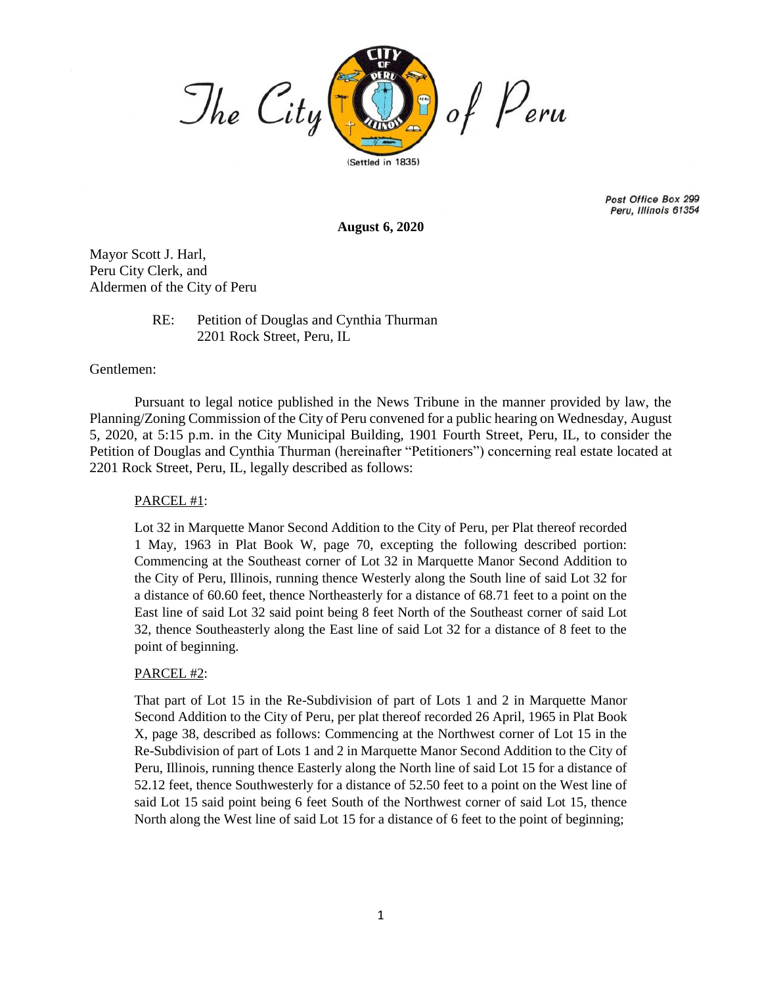

Post Office Box 299 Peru, Illinois 61354

**August 6, 2020**

Mayor Scott J. Harl, Peru City Clerk, and Aldermen of the City of Peru

## RE: Petition of Douglas and Cynthia Thurman 2201 Rock Street, Peru, IL

## Gentlemen:

Pursuant to legal notice published in the News Tribune in the manner provided by law, the Planning/Zoning Commission of the City of Peru convened for a public hearing on Wednesday, August 5, 2020, at 5:15 p.m. in the City Municipal Building, 1901 Fourth Street, Peru, IL, to consider the Petition of Douglas and Cynthia Thurman (hereinafter "Petitioners") concerning real estate located at 2201 Rock Street, Peru, IL, legally described as follows:

## PARCEL #1:

Lot 32 in Marquette Manor Second Addition to the City of Peru, per Plat thereof recorded 1 May, 1963 in Plat Book W, page 70, excepting the following described portion: Commencing at the Southeast corner of Lot 32 in Marquette Manor Second Addition to the City of Peru, Illinois, running thence Westerly along the South line of said Lot 32 for a distance of 60.60 feet, thence Northeasterly for a distance of 68.71 feet to a point on the East line of said Lot 32 said point being 8 feet North of the Southeast corner of said Lot 32, thence Southeasterly along the East line of said Lot 32 for a distance of 8 feet to the point of beginning.

## PARCEL #2:

That part of Lot 15 in the Re-Subdivision of part of Lots 1 and 2 in Marquette Manor Second Addition to the City of Peru, per plat thereof recorded 26 April, 1965 in Plat Book X, page 38, described as follows: Commencing at the Northwest corner of Lot 15 in the Re-Subdivision of part of Lots 1 and 2 in Marquette Manor Second Addition to the City of Peru, Illinois, running thence Easterly along the North line of said Lot 15 for a distance of 52.12 feet, thence Southwesterly for a distance of 52.50 feet to a point on the West line of said Lot 15 said point being 6 feet South of the Northwest corner of said Lot 15, thence North along the West line of said Lot 15 for a distance of 6 feet to the point of beginning;